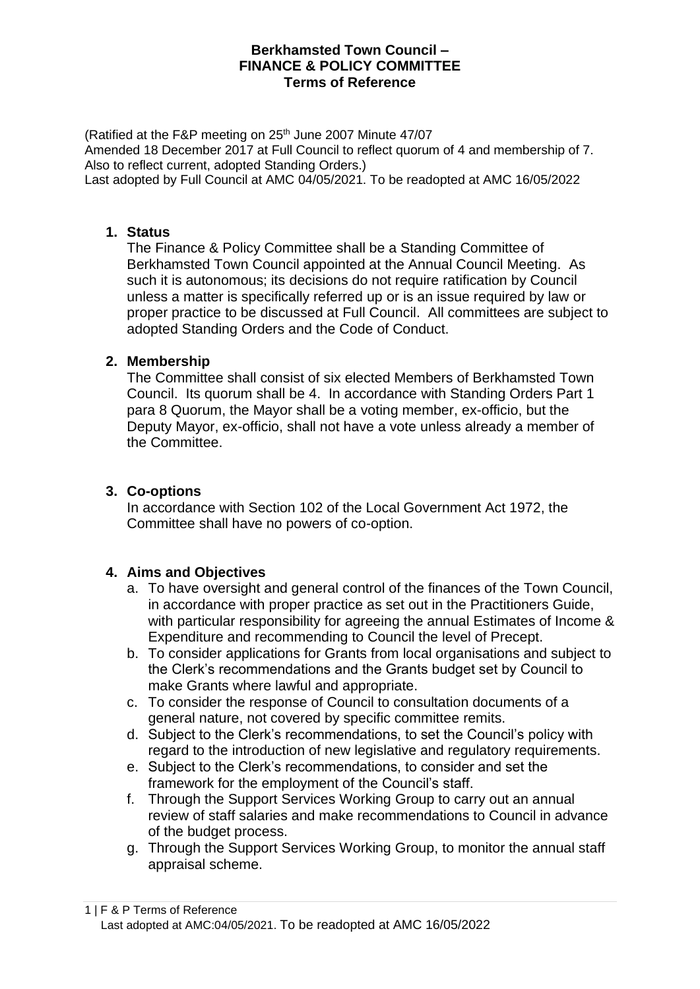## **Berkhamsted Town Council – FINANCE & POLICY COMMITTEE Terms of Reference**

(Ratified at the F&P meeting on 25<sup>th</sup> June 2007 Minute 47/07 Amended 18 December 2017 at Full Council to reflect quorum of 4 and membership of 7. Also to reflect current, adopted Standing Orders.) Last adopted by Full Council at AMC 04/05/2021. To be readopted at AMC 16/05/2022

#### **1. Status**

The Finance & Policy Committee shall be a Standing Committee of Berkhamsted Town Council appointed at the Annual Council Meeting. As such it is autonomous; its decisions do not require ratification by Council unless a matter is specifically referred up or is an issue required by law or proper practice to be discussed at Full Council. All committees are subject to adopted Standing Orders and the Code of Conduct.

### **2. Membership**

The Committee shall consist of six elected Members of Berkhamsted Town Council. Its quorum shall be 4. In accordance with Standing Orders Part 1 para 8 Quorum, the Mayor shall be a voting member, ex-officio, but the Deputy Mayor, ex-officio, shall not have a vote unless already a member of the Committee.

## **3. Co-options**

In accordance with Section 102 of the Local Government Act 1972, the Committee shall have no powers of co-option.

### **4. Aims and Objectives**

- a. To have oversight and general control of the finances of the Town Council, in accordance with proper practice as set out in the Practitioners Guide, with particular responsibility for agreeing the annual Estimates of Income & Expenditure and recommending to Council the level of Precept.
- b. To consider applications for Grants from local organisations and subject to the Clerk's recommendations and the Grants budget set by Council to make Grants where lawful and appropriate.
- c. To consider the response of Council to consultation documents of a general nature, not covered by specific committee remits.
- d. Subject to the Clerk's recommendations, to set the Council's policy with regard to the introduction of new legislative and regulatory requirements.
- e. Subject to the Clerk's recommendations, to consider and set the framework for the employment of the Council's staff.
- f. Through the Support Services Working Group to carry out an annual review of staff salaries and make recommendations to Council in advance of the budget process.
- g. Through the Support Services Working Group, to monitor the annual staff appraisal scheme.